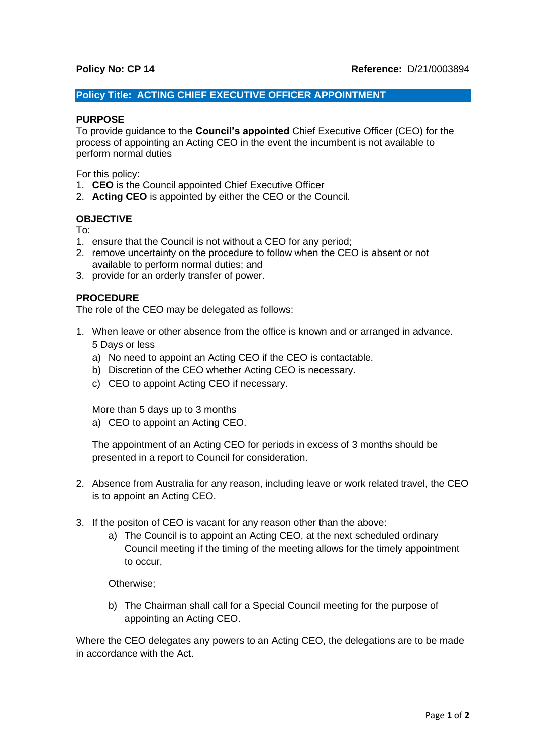# **Policy Title: ACTING CHIEF EXECUTIVE OFFICER APPOINTMENT**

### **PURPOSE**

To provide guidance to the **Council's appointed** Chief Executive Officer (CEO) for the process of appointing an Acting CEO in the event the incumbent is not available to perform normal duties

For this policy:

- 1. **CEO** is the Council appointed Chief Executive Officer
- 2. **Acting CEO** is appointed by either the CEO or the Council.

# **OBJECTIVE**

To:

- 1. ensure that the Council is not without a CEO for any period;
- 2. remove uncertainty on the procedure to follow when the CEO is absent or not available to perform normal duties; and
- 3. provide for an orderly transfer of power.

## **PROCEDURE**

The role of the CEO may be delegated as follows:

- 1. When leave or other absence from the office is known and or arranged in advance. 5 Days or less
	- a) No need to appoint an Acting CEO if the CEO is contactable.
	- b) Discretion of the CEO whether Acting CEO is necessary.
	- c) CEO to appoint Acting CEO if necessary.

More than 5 days up to 3 months

a) CEO to appoint an Acting CEO.

The appointment of an Acting CEO for periods in excess of 3 months should be presented in a report to Council for consideration.

- 2. Absence from Australia for any reason, including leave or work related travel, the CEO is to appoint an Acting CEO.
- 3. If the positon of CEO is vacant for any reason other than the above:
	- a) The Council is to appoint an Acting CEO, at the next scheduled ordinary Council meeting if the timing of the meeting allows for the timely appointment to occur,

Otherwise;

b) The Chairman shall call for a Special Council meeting for the purpose of appointing an Acting CEO.

Where the CEO delegates any powers to an Acting CEO, the delegations are to be made in accordance with the Act.